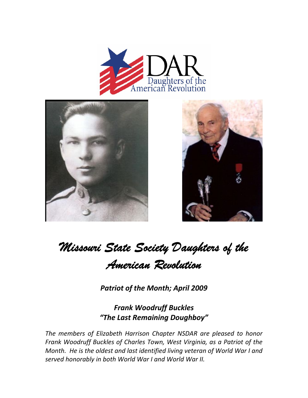





## *Missouri State Society Daughters of the American Revolution*

*Patriot of the Month; April 2009*

*Frank Woodruff Buckles "The Last Remaining Doughboy"*

*The members of Elizabeth Harrison Chapter NSDAR are pleased to honor Frank Woodruff Buckles of Charles Town, West Virginia, as a Patriot of the Month. He is the oldest and last identified living veteran of World War I and served honorably in both World War I and World War II.*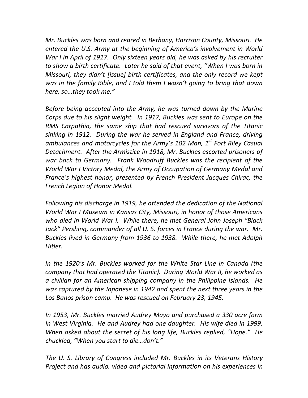*Mr. Buckles was born and reared in Bethany, Harrison County, Missouri. He entered the U.S. Army at the beginning of America's involvement in World War I in April of 1917. Only sixteen years old, he was asked by his recruiter to show a birth certificate. Later he said of that event, "When I was born in Missouri, they didn't [issue] birth certificates, and the only record we kept was in the family Bible, and I told them I wasn't going to bring that down here, so…they took me."*

*Before being accepted into the Army, he was turned down by the Marine Corps due to his slight weight. In 1917, Buckles was sent to Europe on the RMS Carpathia, the same ship that had rescued survivors of the Titanic sinking in 1912. During the war he served in England and France, driving ambulances and motorcycles for the Army's 102 Man, 1st Fort Riley Casual Detachment. After the Armistice in 1918, Mr. Buckles escorted prisoners of war back to Germany. Frank Woodruff Buckles was the recipient of the World War I Victory Medal, the Army of Occupation of Germany Medal and France's highest honor, presented by French President Jacques Chirac, the French Legion of Honor Medal.*

*Following his discharge in 1919, he attended the dedication of the National World War I Museum in Kansas City, Missouri, in honor of those Americans who died in World War I. While there, he met General John Joseph "Black Jack" Pershing, commander of all U. S. forces in France during the war. Mr. Buckles lived in Germany from 1936 to 1938. While there, he met Adolph Hitler.*

*In the 1920's Mr. Buckles worked for the White Star Line in Canada (the company that had operated the Titanic). During World War II, he worked as a civilian for an American shipping company in the Philippine Islands. He was captured by the Japanese in 1942 and spent the next three years in the Los Banos prison camp. He was rescued on February 23, 1945.*

*In 1953, Mr. Buckles married Audrey Mayo and purchased a 330 acre farm in West Virginia. He and Audrey had one daughter. His wife died in 1999. When asked about the secret of his long life, Buckles replied, "Hope." He chuckled, "When you start to die…don't."*

*The U. S. Library of Congress included Mr. Buckles in its Veterans History Project and has audio, video and pictorial information on his experiences in*